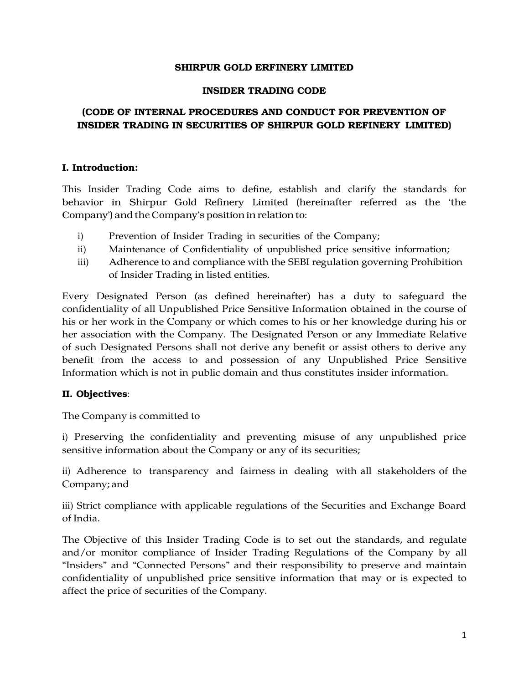## **SHIRPUR GOLD ERFINERY LIMITED**

## **INSIDER TRADING CODE**

# **(CODE OF INTERNAL PROCEDURES AND CONDUCT FOR PREVENTION OF INSIDER TRADING IN SECURITIES OF SHIRPUR GOLD REFINERY LIMITED)**

## **I. Introduction:**

This Insider Trading Code aims to define, establish and clarify the standards for behavior in Shirpur Gold Refinery Limited (hereinafter referred as the 'the Company') and the Company's position in relation to:

- i) Prevention of Insider Trading in securities of the Company;
- ii) Maintenance of Confidentiality of unpublished price sensitive information;
- iii) Adherence to and compliance with the SEBI regulation governing Prohibition of Insider Trading in listed entities.

Every Designated Person (as defined hereinafter) has a duty to safeguard the confidentiality of all Unpublished Price Sensitive Information obtained in the course of his or her work in the Company or which comes to his or her knowledge during his or her association with the Company. The Designated Person or any Immediate Relative of such Designated Persons shall not derive any benefit or assist others to derive any benefit from the access to and possession of any Unpublished Price Sensitive Information which is not in public domain and thus constitutes insider information.

# **II. Objectives**:

The Company is committed to

i) Preserving the confidentiality and preventing misuse of any unpublished price sensitive information about the Company or any of its securities;

ii) Adherence to transparency and fairness in dealing with all stakeholders of the Company; and

iii) Strict compliance with applicable regulations of the Securities and Exchange Board of India.

The Objective of this Insider Trading Code is to set out the standards, and regulate and/or monitor compliance of Insider Trading Regulations of the Company by all "Insiders" and "Connected Persons" and their responsibility to preserve and maintain confidentiality of unpublished price sensitive information that may or is expected to affect the price of securities of the Company.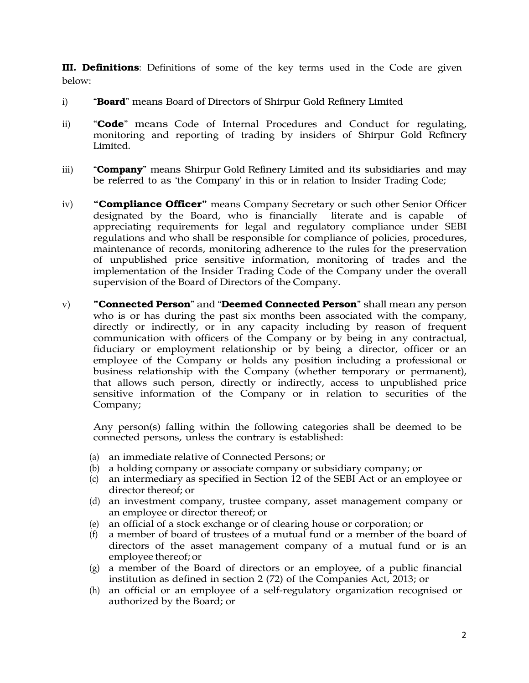**III. Definitions**: Definitions of some of the key terms used in the Code are given below:

- i) "**Board**" means Board of Directors of Shirpur Gold Refinery Limited
- ii) "**Code**" means Code of Internal Procedures and Conduct for regulating, monitoring and reporting of trading by insiders of Shirpur Gold Refinery Limited.
- iii) "**Company**" means Shirpur Gold Refinery Limited and its subsidiaries and may be referred to as 'the Company' in this or in relation to Insider Trading Code;
- iv) **"Compliance Officer"** means Company Secretary or such other Senior Officer designated by the Board, who is financially literate and is capable appreciating requirements for legal and regulatory compliance under SEBI regulations and who shall be responsible for compliance of policies, procedures, maintenance of records, monitoring adherence to the rules for the preservation of unpublished price sensitive information, monitoring of trades and the implementation of the Insider Trading Code of the Company under the overall supervision of the Board of Directors of the Company.
- v) **"Connected Person**" and "**Deemed Connected Person**" shall mean any person who is or has during the past six months been associated with the company, directly or indirectly, or in any capacity including by reason of frequent communication with officers of the Company or by being in any contractual, fiduciary or employment relationship or by being a director, officer or an employee of the Company or holds any position including a professional or business relationship with the Company (whether temporary or permanent), that allows such person, directly or indirectly, access to unpublished price sensitive information of the Company or in relation to securities of the Company;

Any person(s) falling within the following categories shall be deemed to be connected persons, unless the contrary is established:

- (a) an immediate relative of Connected Persons; or
- (b) a holding company or associate company or subsidiary company; or
- (c) an intermediary as specified in Section 12 of the SEBI Act or an employee or director thereof; or
- (d) an investment company, trustee company, asset management company or an employee or director thereof; or
- (e) an official of a stock exchange or of clearing house or corporation; or
- (f) a member of board of trustees of a mutual fund or a member of the board of directors of the asset management company of a mutual fund or is an employee thereof; or
- (g) a member of the Board of directors or an employee, of a public financial institution as defined in section 2 (72) of the Companies Act, 2013; or
- (h) an official or an employee of a self-regulatory organization recognised or authorized by the Board; or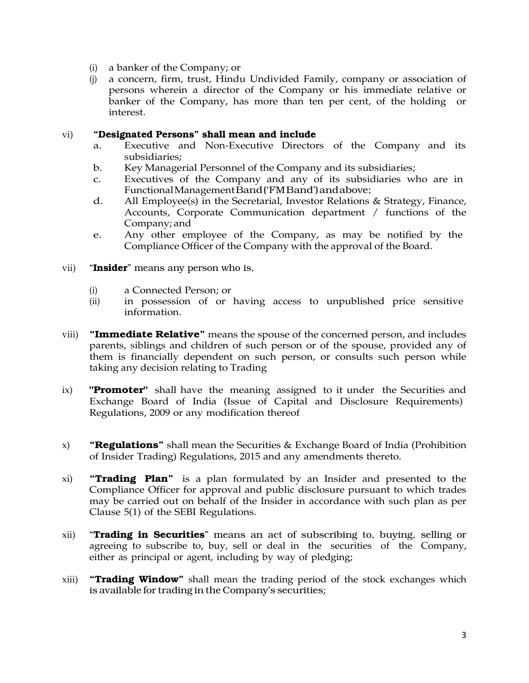- (i) a banker of the Company; or
- (j) a concern, firm, trust, Hindu Undivided Family, company or association of persons wherein a director of the Company or his immediate relative or banker of the Company, has more than ten per cent, of the holding or interest.

## vi) **"Designated Persons" shall mean and include**

- a. Executive and Non-Executive Directors of the Company and its subsidiaries;
- b. Key Managerial Personnel of the Company and its subsidiaries;
- c. Executives of the Company and any of its subsidiaries who are in Functional Management Band ('FM Band') and above;
- d. All Employee(s) in the Secretarial, Investor Relations & Strategy, Finance, Accounts, Corporate Communication department / functions of the Company; and
- e. Any other employee of the Company, as may be notified by the Compliance Officer of the Company with the approval of the Board.
- vii) "**Insider**" means any person who is,
	- (i) a Connected Person; or
	- (ii) in possession of or having access to unpublished price sensitive information.
- viii) **"Immediate Relative"** means the spouse of the concerned person, and includes parents, siblings and children of such person or of the spouse, provided any of them is financially dependent on such person, or consults such person while taking any decision relating to Trading
- ix) **"Promoter"** shall have the meaning assigned to it under the Securities and Exchange Board of India (Issue of Capital and Disclosure Requirements) Regulations, 2009 or any modification thereof
- x) **"Regulations"** shall mean the Securities & Exchange Board of India (Prohibition of Insider Trading) Regulations, 2015 and any amendments thereto.
- xi) **"Trading Plan"** is a plan formulated by an Insider and presented to the Compliance Officer for approval and public disclosure pursuant to which trades may be carried out on behalf of the Insider in accordance with such plan as per Clause 5(1) of the SEBI Regulations.
- xii) "**Trading in Securities**" means an act of subscribing to, buying, selling or agreeing to subscribe to, buy, sell or deal in the securities of the Company, either as principal or agent, including by way of pledging;
- xiii) **"Trading Window"** shall mean the trading period of the stock exchanges which is available for trading in the Company's securities;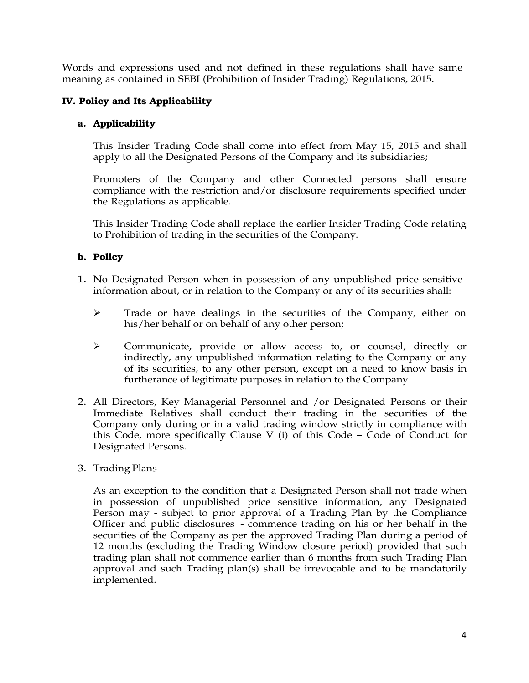Words and expressions used and not defined in these regulations shall have same meaning as contained in SEBI (Prohibition of Insider Trading) Regulations, 2015.

# **IV. Policy and Its Applicability**

# **a. Applicability**

This Insider Trading Code shall come into effect from May 15, 2015 and shall apply to all the Designated Persons of the Company and its subsidiaries;

Promoters of the Company and other Connected persons shall ensure compliance with the restriction and/or disclosure requirements specified under the Regulations as applicable.

This Insider Trading Code shall replace the earlier Insider Trading Code relating to Prohibition of trading in the securities of the Company.

# **b. Policy**

- 1. No Designated Person when in possession of any unpublished price sensitive information about, or in relation to the Company or any of its securities shall:
	- > Trade or have dealings in the securities of the Company, either on his/her behalf or on behalf of any other person;
	- Communicate, provide or allow access to, or counsel, directly or indirectly, any unpublished information relating to the Company or any of its securities, to any other person, except on a need to know basis in furtherance of legitimate purposes in relation to the Company
- 2. All Directors, Key Managerial Personnel and /or Designated Persons or their Immediate Relatives shall conduct their trading in the securities of the Company only during or in a valid trading window strictly in compliance with this Code, more specifically Clause V (i) of this Code – Code of Conduct for Designated Persons.
- 3. Trading Plans

As an exception to the condition that a Designated Person shall not trade when in possession of unpublished price sensitive information, any Designated Person may - subject to prior approval of a Trading Plan by the Compliance Officer and public disclosures - commence trading on his or her behalf in the securities of the Company as per the approved Trading Plan during a period of 12 months (excluding the Trading Window closure period) provided that such trading plan shall not commence earlier than 6 months from such Trading Plan approval and such Trading plan(s) shall be irrevocable and to be mandatorily implemented.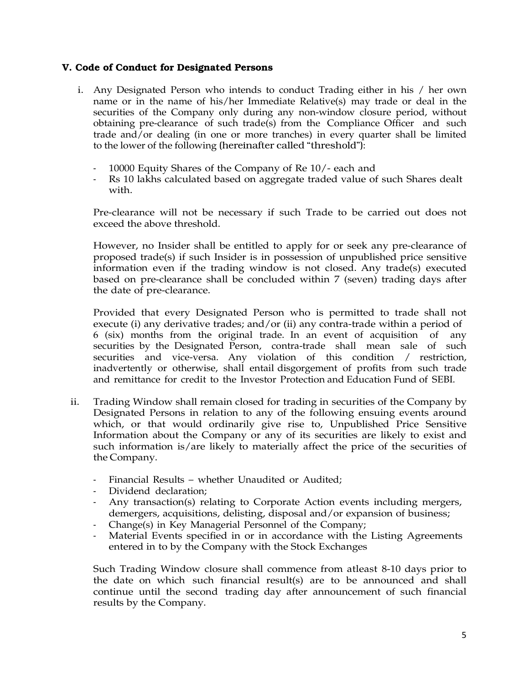## **V. Code of Conduct for Designated Persons**

- i. Any Designated Person who intends to conduct Trading either in his / her own name or in the name of his/her Immediate Relative(s) may trade or deal in the securities of the Company only during any non-window closure period, without obtaining pre-clearance of such trade(s) from the Compliance Officer and such trade and/or dealing (in one or more tranches) in every quarter shall be limited to the lower of the following (hereinafter called "threshold"):
	- 10000 Equity Shares of the Company of Re 10/- each and
	- Rs 10 lakhs calculated based on aggregate traded value of such Shares dealt with.

Pre-clearance will not be necessary if such Trade to be carried out does not exceed the above threshold.

However, no Insider shall be entitled to apply for or seek any pre-clearance of proposed trade(s) if such Insider is in possession of unpublished price sensitive information even if the trading window is not closed. Any trade(s) executed based on pre-clearance shall be concluded within 7 (seven) trading days after the date of pre-clearance.

Provided that every Designated Person who is permitted to trade shall not execute (i) any derivative trades; and/or (ii) any contra-trade within a period of 6 (six) months from the original trade. In an event of acquisition of any securities by the Designated Person, contra-trade shall mean sale of such securities and vice-versa. Any violation of this condition / restriction, inadvertently or otherwise, shall entail disgorgement of profits from such trade and remittance for credit to the Investor Protection and Education Fund of SEBI.

- ii. Trading Window shall remain closed for trading in securities of the Company by Designated Persons in relation to any of the following ensuing events around which, or that would ordinarily give rise to, Unpublished Price Sensitive Information about the Company or any of its securities are likely to exist and such information is/are likely to materially affect the price of the securities of the Company.
	- Financial Results whether Unaudited or Audited;
	- Dividend declaration;
	- Any transaction(s) relating to Corporate Action events including mergers, demergers, acquisitions, delisting, disposal and/or expansion of business;
	- Change(s) in Key Managerial Personnel of the Company;
	- Material Events specified in or in accordance with the Listing Agreements entered in to by the Company with the Stock Exchanges

Such Trading Window closure shall commence from atleast 8-10 days prior to the date on which such financial result(s) are to be announced and shall continue until the second trading day after announcement of such financial results by the Company.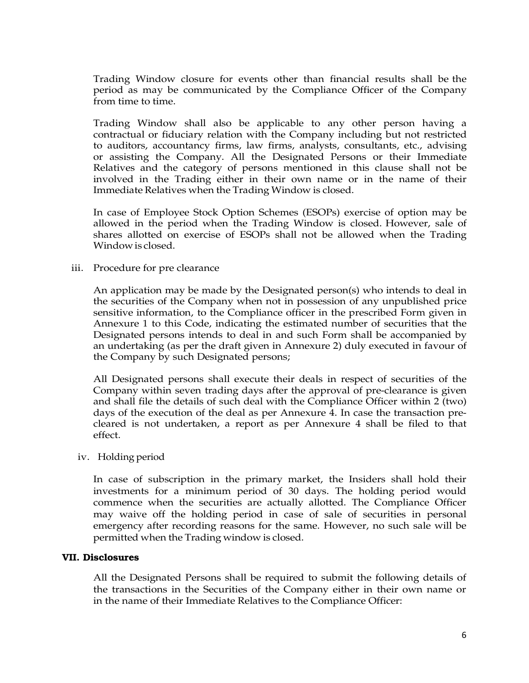Trading Window closure for events other than financial results shall be the period as may be communicated by the Compliance Officer of the Company from time to time.

Trading Window shall also be applicable to any other person having a contractual or fiduciary relation with the Company including but not restricted to auditors, accountancy firms, law firms, analysts, consultants, etc., advising or assisting the Company. All the Designated Persons or their Immediate Relatives and the category of persons mentioned in this clause shall not be involved in the Trading either in their own name or in the name of their Immediate Relatives when the Trading Window is closed.

In case of Employee Stock Option Schemes (ESOPs) exercise of option may be allowed in the period when the Trading Window is closed. However, sale of shares allotted on exercise of ESOPs shall not be allowed when the Trading Window is closed.

## iii. Procedure for pre clearance

An application may be made by the Designated person(s) who intends to deal in the securities of the Company when not in possession of any unpublished price sensitive information, to the Compliance officer in the prescribed Form given in Annexure 1 to this Code, indicating the estimated number of securities that the Designated persons intends to deal in and such Form shall be accompanied by an undertaking (as per the draft given in Annexure 2) duly executed in favour of the Company by such Designated persons;

All Designated persons shall execute their deals in respect of securities of the Company within seven trading days after the approval of pre-clearance is given and shall file the details of such deal with the Compliance Officer within 2 (two) days of the execution of the deal as per Annexure 4. In case the transaction precleared is not undertaken, a report as per Annexure 4 shall be filed to that effect.

## iv. Holding period

In case of subscription in the primary market, the Insiders shall hold their investments for a minimum period of 30 days. The holding period would commence when the securities are actually allotted. The Compliance Officer may waive off the holding period in case of sale of securities in personal emergency after recording reasons for the same. However, no such sale will be permitted when the Trading window is closed.

## **VII. Disclosures**

All the Designated Persons shall be required to submit the following details of the transactions in the Securities of the Company either in their own name or in the name of their Immediate Relatives to the Compliance Officer: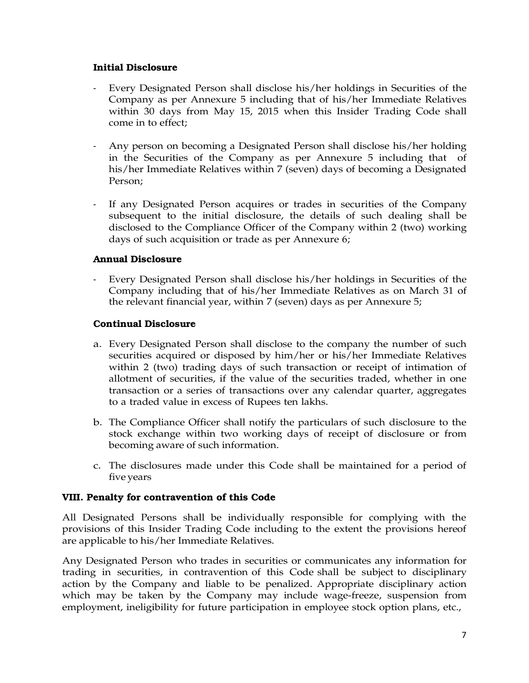## **Initial Disclosure**

- Every Designated Person shall disclose his/her holdings in Securities of the Company as per Annexure 5 including that of his/her Immediate Relatives within 30 days from May 15, 2015 when this Insider Trading Code shall come in to effect;
- Any person on becoming a Designated Person shall disclose his/her holding in the Securities of the Company as per Annexure 5 including that of his/her Immediate Relatives within 7 (seven) days of becoming a Designated Person;
- If any Designated Person acquires or trades in securities of the Company subsequent to the initial disclosure, the details of such dealing shall be disclosed to the Compliance Officer of the Company within 2 (two) working days of such acquisition or trade as per Annexure 6;

# **Annual Disclosure**

- Every Designated Person shall disclose his/her holdings in Securities of the Company including that of his/her Immediate Relatives as on March 31 of the relevant financial year, within 7 (seven) days as per Annexure 5;

## **Continual Disclosure**

- a. Every Designated Person shall disclose to the company the number of such securities acquired or disposed by him/her or his/her Immediate Relatives within 2 (two) trading days of such transaction or receipt of intimation of allotment of securities, if the value of the securities traded, whether in one transaction or a series of transactions over any calendar quarter, aggregates to a traded value in excess of Rupees ten lakhs.
- b. The Compliance Officer shall notify the particulars of such disclosure to the stock exchange within two working days of receipt of disclosure or from becoming aware of such information.
- c. The disclosures made under this Code shall be maintained for a period of five years

# **VIII. Penalty for contravention of this Code**

All Designated Persons shall be individually responsible for complying with the provisions of this Insider Trading Code including to the extent the provisions hereof are applicable to his/her Immediate Relatives.

Any Designated Person who trades in securities or communicates any information for trading in securities, in contravention of this Code shall be subject to disciplinary action by the Company and liable to be penalized. Appropriate disciplinary action which may be taken by the Company may include wage-freeze, suspension from employment, ineligibility for future participation in employee stock option plans, etc.,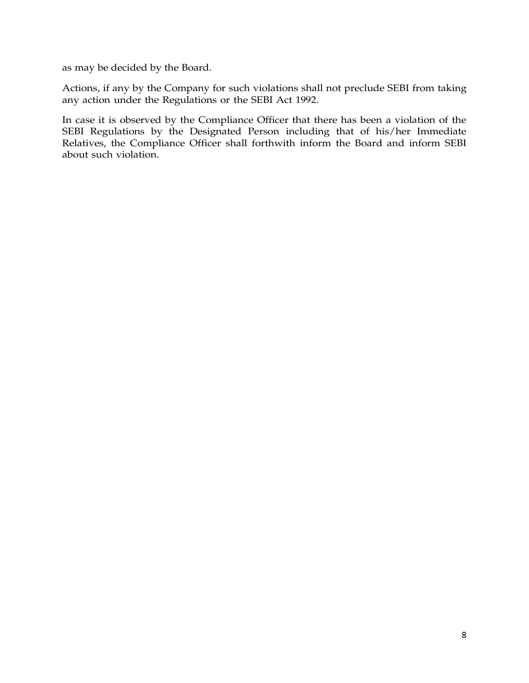as may be decided by the Board.

Actions, if any by the Company for such violations shall not preclude SEBI from taking any action under the Regulations or the SEBI Act 1992.

In case it is observed by the Compliance Officer that there has been a violation of the SEBI Regulations by the Designated Person including that of his/her Immediate Relatives, the Compliance Officer shall forthwith inform the Board and inform SEBI about such violation.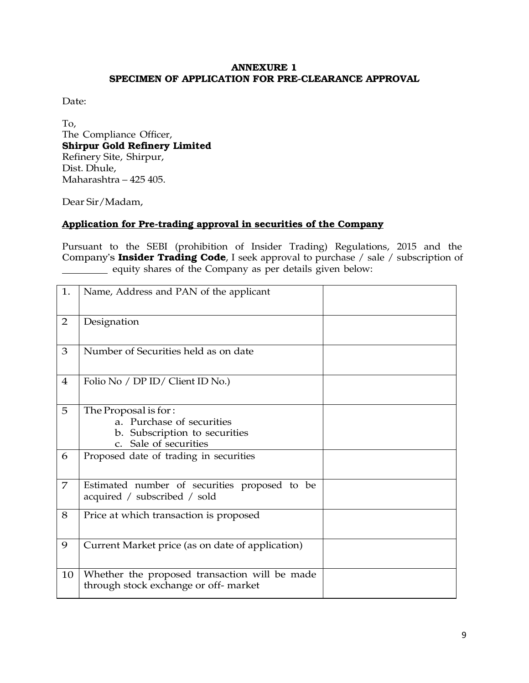## **ANNEXURE 1 SPECIMEN OF APPLICATION FOR PRE-CLEARANCE APPROVAL**

Date:

To, The Compliance Officer, **Shirpur Gold Refinery Limited**  Refinery Site, Shirpur, Dist. Dhule, Maharashtra – 425 405.

Dear Sir/Madam,

# **Application for Pre-trading approval in securities of the Company**

Pursuant to the SEBI (prohibition of Insider Trading) Regulations, 2015 and the Company's **Insider Trading Code**, I seek approval to purchase / sale / subscription of equity shares of the Company as per details given below:

| 1.             | Name, Address and PAN of the applicant                                                                                   |  |
|----------------|--------------------------------------------------------------------------------------------------------------------------|--|
| $\overline{2}$ | Designation                                                                                                              |  |
| 3              | Number of Securities held as on date                                                                                     |  |
| $\overline{4}$ | Folio No / DP ID/ Client ID No.)                                                                                         |  |
| 5              | The Proposal is for:<br>a. Purchase of securities<br>b. Subscription to securities<br>Sale of securities<br>$C_{\rm{c}}$ |  |
| 6              | Proposed date of trading in securities                                                                                   |  |
| $\overline{7}$ | Estimated number of securities proposed to be<br>acquired / subscribed / sold                                            |  |
| 8              | Price at which transaction is proposed                                                                                   |  |
| 9              | Current Market price (as on date of application)                                                                         |  |
| 10             | Whether the proposed transaction will be made<br>through stock exchange or off-market                                    |  |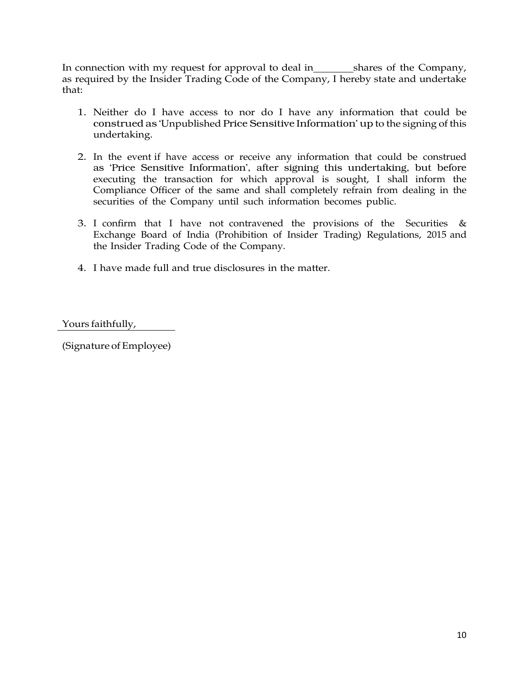In connection with my request for approval to deal in \_\_\_\_\_\_\_\_\_shares of the Company, as required by the Insider Trading Code of the Company, I hereby state and undertake that:

- 1. Neither do I have access to nor do I have any information that could be construed as 'Unpublished Price Sensitive Information' up to the signing of this undertaking.
- 2. In the event if have access or receive any information that could be construed as 'Price Sensitive Information', after signing this undertaking, but before executing the transaction for which approval is sought, I shall inform the Compliance Officer of the same and shall completely refrain from dealing in the securities of the Company until such information becomes public.
- 3. I confirm that I have not contravened the provisions of the Securities  $\&$ Exchange Board of India (Prohibition of Insider Trading) Regulations, 2015 and the Insider Trading Code of the Company.
- 4. I have made full and true disclosures in the matter.

Yours faithfully,

(Signature of Employee)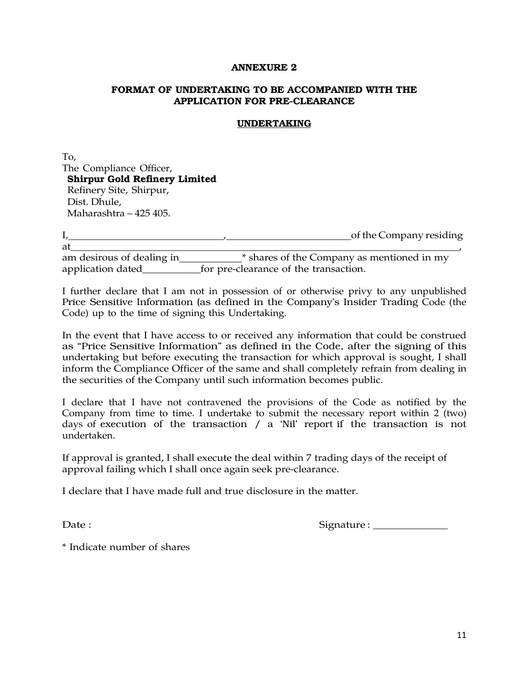## **FORMAT OF UNDERTAKING TO BE ACCOMPANIED WITH THE APPLICATION FOR PRE-CLEARANCE**

## **UNDERTAKING**

To, The Compliance Officer, **Shirpur Gold Refinery Limited**  Refinery Site, Shirpur, Dist. Dhule, Maharashtra – 425 405.

I, of the Company residing  $at$  , at  $\overline{a}$  , at  $\overline{a}$  , at  $\overline{a}$  , at  $\overline{a}$  , at  $\overline{a}$  , at  $\overline{a}$  , at  $\overline{a}$  , at  $\overline{a}$  , at  $\overline{a}$  , at  $\overline{a}$  , at  $\overline{a}$  , at  $\overline{a}$  , at  $\overline{a}$  , at  $\overline{a}$  , at  $\overline{a}$  , at  $\$ am desirous of dealing in \* shares of the Company as mentioned in my application dated  $\frac{6}{\sqrt{1-\frac{1}{2}}}\frac{1}{\sqrt{1-\frac{1}{2}}}\frac{1}{\sqrt{1-\frac{1}{2}}}\frac{1}{\sqrt{1-\frac{1}{2}}}\frac{1}{\sqrt{1-\frac{1}{2}}}\frac{1}{\sqrt{1-\frac{1}{2}}}\frac{1}{\sqrt{1-\frac{1}{2}}}\frac{1}{\sqrt{1-\frac{1}{2}}}\frac{1}{\sqrt{1-\frac{1}{2}}}\frac{1}{\sqrt{1-\frac{1}{2}}}\frac{1}{\sqrt{1-\frac{1}{2}}}\frac{1}{\sqrt{1-\frac{1}{2}}}\frac{1}{\sqrt{1-\$ 

I further declare that I am not in possession of or otherwise privy to any unpublished Price Sensitive Information (as defined in the Company's Insider Trading Code (the Code) up to the time of signing this Undertaking.

In the event that I have access to or received any information that could be construed as "Price Sensitive Information" as defined in the Code, after the signing of this undertaking but before executing the transaction for which approval is sought, I shall inform the Compliance Officer of the same and shall completely refrain from dealing in the securities of the Company until such information becomes public.

I declare that I have not contravened the provisions of the Code as notified by the Company from time to time. I undertake to submit the necessary report within 2 (two) days of execution of the transaction / a 'Nil' report if the transaction is not undertaken.

If approval is granted, I shall execute the deal within 7 trading days of the receipt of approval failing which I shall once again seek pre-clearance.

I declare that I have made full and true disclosure in the matter.

Date : Signature : Signature : Signature : Signature : Signature : Signature : Signature : Signature : Signature : Signature : Signature : Signature : Signature : Signature : Signature : Signature : Signature : Signature :

\* Indicate number of shares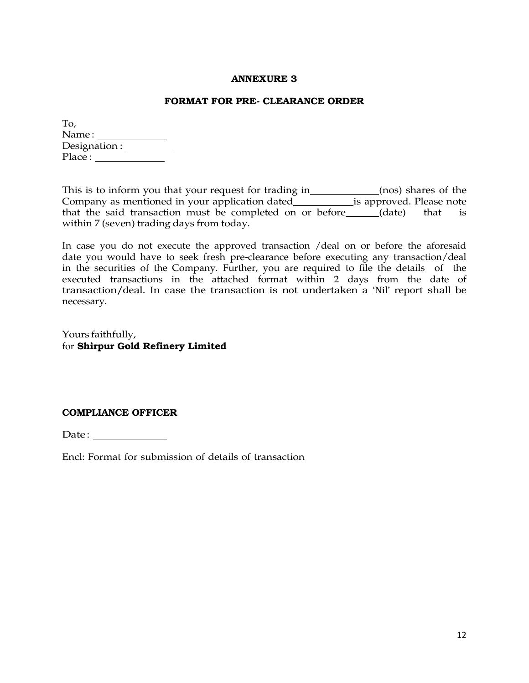#### **FORMAT FOR PRE- CLEARANCE ORDER**

| To,                                    |  |
|----------------------------------------|--|
| Name:                                  |  |
| Designation : $\overline{\phantom{a}}$ |  |
| Place:                                 |  |

This is to inform you that your request for trading in\_\_\_\_\_\_\_\_\_\_\_\_(nos) shares of the Company as mentioned in your application dated\_\_\_\_\_\_\_\_\_\_\_\_\_is approved. Please note that the said transaction must be completed on or before\_\_\_\_\_(date) that is within 7 (seven) trading days from today.

In case you do not execute the approved transaction /deal on or before the aforesaid date you would have to seek fresh pre-clearance before executing any transaction/deal in the securities of the Company. Further, you are required to file the details of the executed transactions in the attached format within 2 days from the date of transaction/deal. In case the transaction is not undertaken a 'Nil' report shall be necessary.

Yours faithfully, for **Shirpur Gold Refinery Limited** 

## **COMPLIANCE OFFICER**

Date :

Encl: Format for submission of details of transaction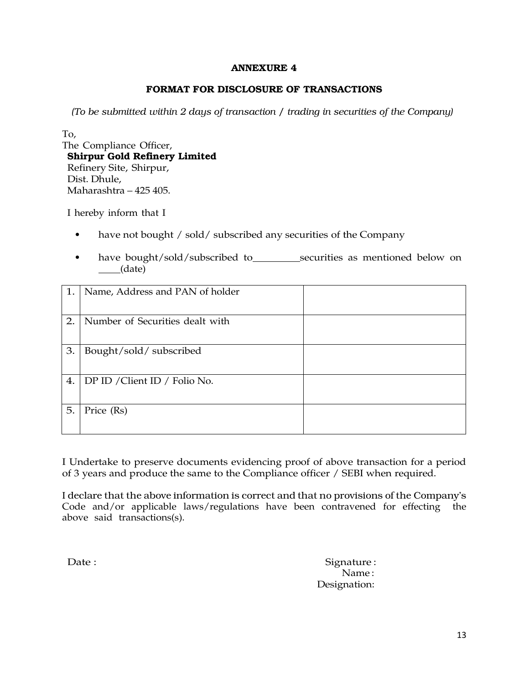# **FORMAT FOR DISCLOSURE OF TRANSACTIONS**

*(To be submitted within 2 days of transaction / trading in securities of the Company)*

To,

The Compliance Officer, **Shirpur Gold Refinery Limited**  Refinery Site, Shirpur, Dist. Dhule, Maharashtra – 425 405.

I hereby inform that I

- have not bought / sold/ subscribed any securities of the Company
- have bought/sold/subscribed to securities as mentioned below on (date)

| 1. | Name, Address and PAN of holder |  |
|----|---------------------------------|--|
| 2. | Number of Securities dealt with |  |
| 3. | Bought/sold/subscribed          |  |
| 4. | DP ID / Client ID / Folio No.   |  |
| 5. | Price (Rs)                      |  |

I Undertake to preserve documents evidencing proof of above transaction for a period of 3 years and produce the same to the Compliance officer / SEBI when required.

I declare that the above information is correct and that no provisions of the Company's Code and/or applicable laws/regulations have been contravened for effecting the above said transactions(s).

Date : Signature : Signature : Signature : Signature : Signature : Signature : Signature : Signature : Signature : Signature : Signature : Signature : Signature : Signature : Signature : Signature : Signature : Signature : Name : Designation: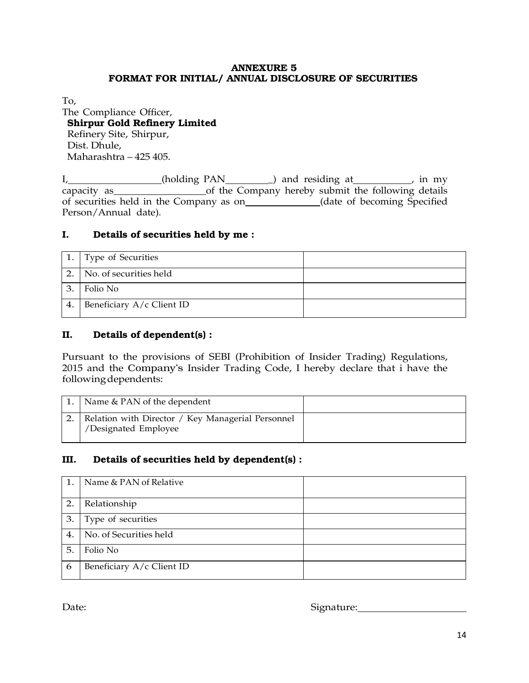## **ANNEXURE 5 FORMAT FOR INITIAL/ ANNUAL DISCLOSURE OF SECURITIES**

To,

# The Compliance Officer, **Shirpur Gold Refinery Limited**  Refinery Site, Shirpur, Dist. Dhule, Maharashtra – 425 405.

I, (holding PAN ) and residing at in my capacity as of the Company hereby submit the following details of securities held in the Company as on<br>
<u>(date of becoming Specified</u>) Person/Annual date).

# **I. Details of securities held by me :**

|    | 1. Type of Securities     |  |
|----|---------------------------|--|
|    | No. of securities held    |  |
| 3. | Folio No                  |  |
| 4. | Beneficiary A/c Client ID |  |

# **II. Details of dependent(s) :**

Pursuant to the provisions of SEBI (Prohibition of Insider Trading) Regulations, 2015 and the Company's Insider Trading Code, I hereby declare that i have the following dependents:

| Name & PAN of the dependent                                               |  |
|---------------------------------------------------------------------------|--|
| Relation with Director / Key Managerial Personnel<br>/Designated Employee |  |

# **III. Details of securities held by dependent(s) :**

| 1.               | Name & PAN of Relative    |  |
|------------------|---------------------------|--|
| $\overline{2}$ . | Relationship              |  |
| 3.               | Type of securities        |  |
| 4.               | No. of Securities held    |  |
| 5.               | Folio No                  |  |
| 6                | Beneficiary A/c Client ID |  |